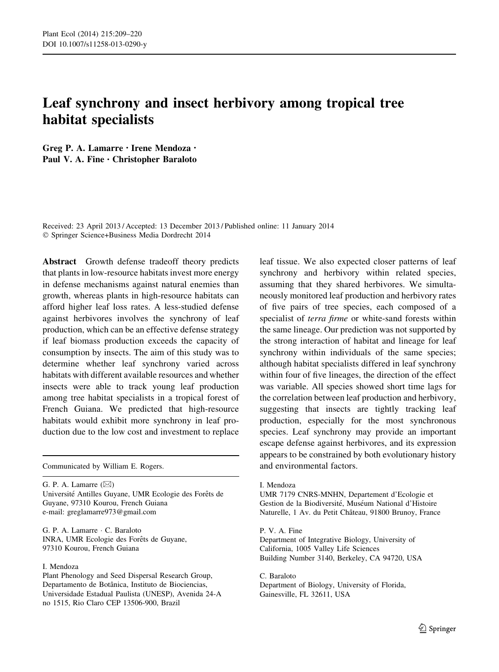# Leaf synchrony and insect herbivory among tropical tree habitat specialists

Greg P. A. Lamarre • Irene Mendoza • Paul V. A. Fine • Christopher Baraloto

Received: 23 April 2013 / Accepted: 13 December 2013 / Published online: 11 January 2014 - Springer Science+Business Media Dordrecht 2014

Abstract Growth defense tradeoff theory predicts that plants in low-resource habitats invest more energy in defense mechanisms against natural enemies than growth, whereas plants in high-resource habitats can afford higher leaf loss rates. A less-studied defense against herbivores involves the synchrony of leaf production, which can be an effective defense strategy if leaf biomass production exceeds the capacity of consumption by insects. The aim of this study was to determine whether leaf synchrony varied across habitats with different available resources and whether insects were able to track young leaf production among tree habitat specialists in a tropical forest of French Guiana. We predicted that high-resource habitats would exhibit more synchrony in leaf production due to the low cost and investment to replace

G. P. A. Lamarre  $(\boxtimes)$ Université Antilles Guyane, UMR Ecologie des Forêts de Guyane, 97310 Kourou, French Guiana e-mail: greglamarre973@gmail.com

G. P. A. Lamarre - C. Baraloto INRA, UMR Ecologie des Forêts de Guyane, 97310 Kourou, French Guiana

#### I. Mendoza

Plant Phenology and Seed Dispersal Research Group, Departamento de Botânica, Instituto de Biociencias, Universidade Estadual Paulista (UNESP), Avenida 24-A no 1515, Rio Claro CEP 13506-900, Brazil

leaf tissue. We also expected closer patterns of leaf synchrony and herbivory within related species, assuming that they shared herbivores. We simultaneously monitored leaf production and herbivory rates of five pairs of tree species, each composed of a specialist of terra firme or white-sand forests within the same lineage. Our prediction was not supported by the strong interaction of habitat and lineage for leaf synchrony within individuals of the same species; although habitat specialists differed in leaf synchrony within four of five lineages, the direction of the effect was variable. All species showed short time lags for the correlation between leaf production and herbivory, suggesting that insects are tightly tracking leaf production, especially for the most synchronous species. Leaf synchrony may provide an important escape defense against herbivores, and its expression appears to be constrained by both evolutionary history Communicated by William E. Rogers. **and environmental factors.** And environmental factors.

I. Mendoza

UMR 7179 CNRS-MNHN, Departement d'Ecologie et Gestion de la Biodiversité, Muséum National d'Histoire Naturelle, 1 Av. du Petit Château, 91800 Brunoy, France

P. V. A. Fine Department of Integrative Biology, University of California, 1005 Valley Life Sciences Building Number 3140, Berkeley, CA 94720, USA

C. Baraloto Department of Biology, University of Florida, Gainesville, FL 32611, USA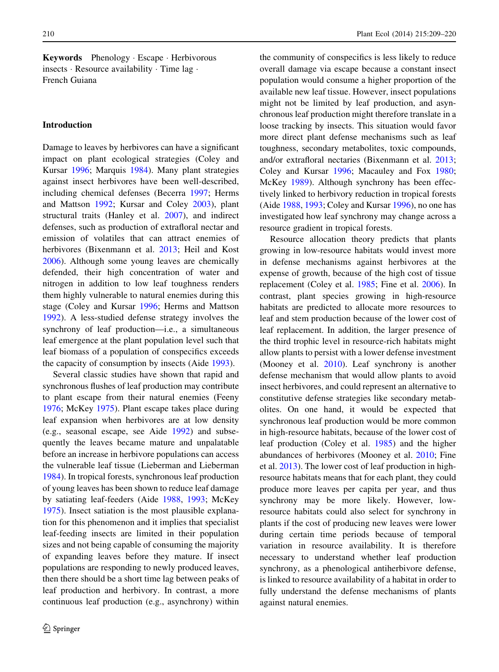Keywords Phenology - Escape - Herbivorous insects - Resource availability - Time lag - French Guiana

#### Introduction

Damage to leaves by herbivores can have a significant impact on plant ecological strategies (Coley and Kursar [1996](#page-10-0); Marquis [1984\)](#page-11-0). Many plant strategies against insect herbivores have been well-described, including chemical defenses (Becerra [1997](#page-10-0); Herms and Mattson [1992;](#page-10-0) Kursar and Coley [2003](#page-10-0)), plant structural traits (Hanley et al. [2007\)](#page-10-0), and indirect defenses, such as production of extrafloral nectar and emission of volatiles that can attract enemies of herbivores (Bixenmann et al. [2013;](#page-10-0) Heil and Kost [2006\)](#page-10-0). Although some young leaves are chemically defended, their high concentration of water and nitrogen in addition to low leaf toughness renders them highly vulnerable to natural enemies during this stage (Coley and Kursar [1996;](#page-10-0) Herms and Mattson [1992\)](#page-10-0). A less-studied defense strategy involves the synchrony of leaf production—i.e., a simultaneous leaf emergence at the plant population level such that leaf biomass of a population of conspecifics exceeds the capacity of consumption by insects (Aide [1993](#page-10-0)).

Several classic studies have shown that rapid and synchronous flushes of leaf production may contribute to plant escape from their natural enemies (Feeny [1976;](#page-10-0) McKey [1975\)](#page-11-0). Plant escape takes place during leaf expansion when herbivores are at low density (e.g., seasonal escape, see Aide [1992\)](#page-10-0) and subsequently the leaves became mature and unpalatable before an increase in herbivore populations can access the vulnerable leaf tissue (Lieberman and Lieberman [1984\)](#page-11-0). In tropical forests, synchronous leaf production of young leaves has been shown to reduce leaf damage by satiating leaf-feeders (Aide [1988](#page-10-0), [1993](#page-10-0); McKey [1975\)](#page-11-0). Insect satiation is the most plausible explanation for this phenomenon and it implies that specialist leaf-feeding insects are limited in their population sizes and not being capable of consuming the majority of expanding leaves before they mature. If insect populations are responding to newly produced leaves, then there should be a short time lag between peaks of leaf production and herbivory. In contrast, a more continuous leaf production (e.g., asynchrony) within

the community of conspecifics is less likely to reduce overall damage via escape because a constant insect population would consume a higher proportion of the available new leaf tissue. However, insect populations might not be limited by leaf production, and asynchronous leaf production might therefore translate in a loose tracking by insects. This situation would favor more direct plant defense mechanisms such as leaf toughness, secondary metabolites, toxic compounds, and/or extrafloral nectaries (Bixenmann et al. [2013](#page-10-0); Coley and Kursar [1996](#page-10-0); Macauley and Fox [1980](#page-11-0); McKey [1989\)](#page-11-0). Although synchrony has been effectively linked to herbivory reduction in tropical forests (Aide [1988,](#page-10-0) [1993](#page-10-0); Coley and Kursar [1996\)](#page-10-0), no one has investigated how leaf synchrony may change across a resource gradient in tropical forests.

Resource allocation theory predicts that plants growing in low-resource habitats would invest more in defense mechanisms against herbivores at the expense of growth, because of the high cost of tissue replacement (Coley et al. [1985;](#page-10-0) Fine et al. [2006\)](#page-10-0). In contrast, plant species growing in high-resource habitats are predicted to allocate more resources to leaf and stem production because of the lower cost of leaf replacement. In addition, the larger presence of the third trophic level in resource-rich habitats might allow plants to persist with a lower defense investment (Mooney et al. [2010](#page-11-0)). Leaf synchrony is another defense mechanism that would allow plants to avoid insect herbivores, and could represent an alternative to constitutive defense strategies like secondary metabolites. On one hand, it would be expected that synchronous leaf production would be more common in high-resource habitats, because of the lower cost of leaf production (Coley et al. [1985\)](#page-10-0) and the higher abundances of herbivores (Mooney et al. [2010](#page-11-0); Fine et al. [2013](#page-10-0)). The lower cost of leaf production in highresource habitats means that for each plant, they could produce more leaves per capita per year, and thus synchrony may be more likely. However, lowresource habitats could also select for synchrony in plants if the cost of producing new leaves were lower during certain time periods because of temporal variation in resource availability. It is therefore necessary to understand whether leaf production synchrony, as a phenological antiherbivore defense, is linked to resource availability of a habitat in order to fully understand the defense mechanisms of plants against natural enemies.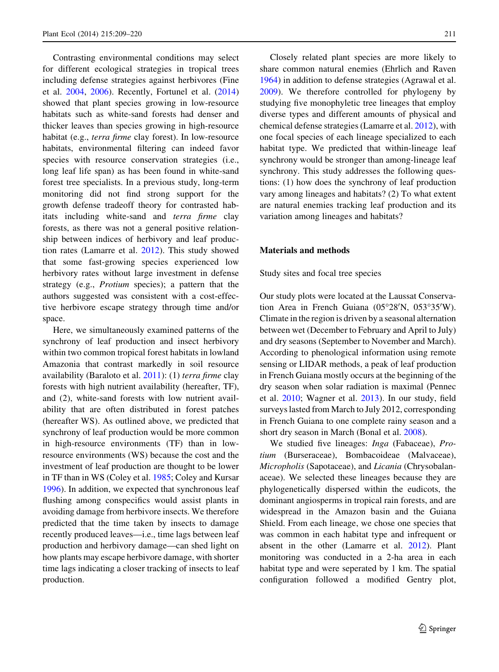Contrasting environmental conditions may select for different ecological strategies in tropical trees including defense strategies against herbivores (Fine et al. [2004](#page-10-0), [2006](#page-10-0)). Recently, Fortunel et al. ([2014\)](#page-10-0) showed that plant species growing in low-resource habitats such as white-sand forests had denser and thicker leaves than species growing in high-resource habitat (e.g., terra firme clay forest). In low-resource habitats, environmental filtering can indeed favor species with resource conservation strategies (i.e., long leaf life span) as has been found in white-sand forest tree specialists. In a previous study, long-term monitoring did not find strong support for the growth defense tradeoff theory for contrasted habitats including white-sand and terra firme clay forests, as there was not a general positive relationship between indices of herbivory and leaf production rates (Lamarre et al. [2012\)](#page-10-0). This study showed that some fast-growing species experienced low herbivory rates without large investment in defense strategy (e.g., Protium species); a pattern that the authors suggested was consistent with a cost-effective herbivore escape strategy through time and/or space.

Here, we simultaneously examined patterns of the synchrony of leaf production and insect herbivory within two common tropical forest habitats in lowland Amazonia that contrast markedly in soil resource availability (Baraloto et al.  $2011$ ): (1) terra firme clay forests with high nutrient availability (hereafter, TF), and (2), white-sand forests with low nutrient availability that are often distributed in forest patches (hereafter WS). As outlined above, we predicted that synchrony of leaf production would be more common in high-resource environments (TF) than in lowresource environments (WS) because the cost and the investment of leaf production are thought to be lower in TF than in WS (Coley et al. [1985;](#page-10-0) Coley and Kursar [1996\)](#page-10-0). In addition, we expected that synchronous leaf flushing among conspecifics would assist plants in avoiding damage from herbivore insects. We therefore predicted that the time taken by insects to damage recently produced leaves—i.e., time lags between leaf production and herbivory damage—can shed light on how plants may escape herbivore damage, with shorter time lags indicating a closer tracking of insects to leaf production.

Closely related plant species are more likely to share common natural enemies (Ehrlich and Raven [1964\)](#page-10-0) in addition to defense strategies (Agrawal et al. [2009\)](#page-10-0). We therefore controlled for phylogeny by studying five monophyletic tree lineages that employ diverse types and different amounts of physical and chemical defense strategies (Lamarre et al. [2012\)](#page-10-0), with one focal species of each lineage specialized to each habitat type. We predicted that within-lineage leaf synchrony would be stronger than among-lineage leaf synchrony. This study addresses the following questions: (1) how does the synchrony of leaf production vary among lineages and habitats? (2) To what extent are natural enemies tracking leaf production and its variation among lineages and habitats?

#### Materials and methods

Study sites and focal tree species

Our study plots were located at the Laussat Conservation Area in French Guiana (05°28'N, 053°35'W). Climate in the region is driven by a seasonal alternation between wet (December to February and April to July) and dry seasons (September to November and March). According to phenological information using remote sensing or LIDAR methods, a peak of leaf production in French Guiana mostly occurs at the beginning of the dry season when solar radiation is maximal (Pennec et al. [2010](#page-11-0); Wagner et al. [2013\)](#page-11-0). In our study, field surveys lasted from March to July 2012, corresponding in French Guiana to one complete rainy season and a short dry season in March (Bonal et al. [2008\)](#page-10-0).

We studied five lineages: Inga (Fabaceae), Protium (Burseraceae), Bombacoideae (Malvaceae), Micropholis (Sapotaceae), and Licania (Chrysobalanaceae). We selected these lineages because they are phylogenetically dispersed within the eudicots, the dominant angiosperms in tropical rain forests, and are widespread in the Amazon basin and the Guiana Shield. From each lineage, we chose one species that was common in each habitat type and infrequent or absent in the other (Lamarre et al. [2012\)](#page-10-0). Plant monitoring was conducted in a 2-ha area in each habitat type and were seperated by 1 km. The spatial configuration followed a modified Gentry plot,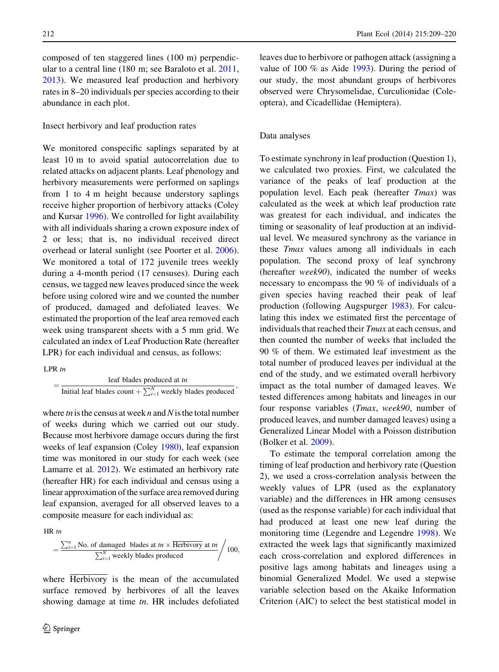composed of ten staggered lines (100 m) perpendicular to a central line (180 m; see Baraloto et al. [2011,](#page-10-0) [2013\)](#page-10-0). We measured leaf production and herbivory rates in 8–20 individuals per species according to their abundance in each plot.

Insect herbivory and leaf production rates

We monitored conspecific saplings separated by at least 10 m to avoid spatial autocorrelation due to related attacks on adjacent plants. Leaf phenology and herbivory measurements were performed on saplings from 1 to 4 m height because understory saplings receive higher proportion of herbivory attacks (Coley and Kursar [1996](#page-10-0)). We controlled for light availability with all individuals sharing a crown exposure index of 2 or less; that is, no individual received direct overhead or lateral sunlight (see Poorter et al. [2006](#page-11-0)). We monitored a total of 172 juvenile trees weekly during a 4-month period (17 censuses). During each census, we tagged new leaves produced since the week before using colored wire and we counted the number of produced, damaged and defoliated leaves. We estimated the proportion of the leaf area removed each week using transparent sheets with a 5 mm grid. We calculated an index of Leaf Production Rate (hereafter LPR) for each individual and census, as follows:

LPR tn

leaf blades produced at tn Initial leaf blades count  $+\sum_{i=1}^{N}$  weekly blades produced ;

where  $tn$  is the census at week n and N is the total number of weeks during which we carried out our study. Because most herbivore damage occurs during the first weeks of leaf expansion (Coley [1980\)](#page-10-0), leaf expansion time was monitored in our study for each week (see Lamarre et al. [2012](#page-10-0)). We estimated an herbivory rate (hereafter HR) for each individual and census using a linear approximation of the surface area removed during leaf expansion, averaged for all observed leaves to a composite measure for each individual as:

HR tn

$$
= \frac{\sum_{i=1}^{n} No. \text{ of damaged blades at } m \times \text{Herbivory at } m}{\sum_{i=1}^{N} \text{ weekly blades produced}} / 100,
$$

where Herbivory is the mean of the accumulated surface removed by herbivores of all the leaves showing damage at time tn. HR includes defoliated leaves due to herbivore or pathogen attack (assigning a value of 100 % as Aide [1993](#page-10-0)). During the period of our study, the most abundant groups of herbivores observed were Chrysomelidae, Curculionidae (Coleoptera), and Cicadellidae (Hemiptera).

#### Data analyses

To estimate synchrony in leaf production (Question 1), we calculated two proxies. First, we calculated the variance of the peaks of leaf production at the population level. Each peak (hereafter Tmax) was calculated as the week at which leaf production rate was greatest for each individual, and indicates the timing or seasonality of leaf production at an individual level. We measured synchrony as the variance in these Tmax values among all individuals in each population. The second proxy of leaf synchrony (hereafter week90), indicated the number of weeks necessary to encompass the 90 % of individuals of a given species having reached their peak of leaf production (following Augspurger [1983\)](#page-10-0). For calculating this index we estimated first the percentage of individuals that reached their Tmax at each census, and then counted the number of weeks that included the 90 % of them. We estimated leaf investment as the total number of produced leaves per individual at the end of the study, and we estimated overall herbivory impact as the total number of damaged leaves. We tested differences among habitats and lineages in our four response variables (Tmax, week90, number of produced leaves, and number damaged leaves) using a Generalized Linear Model with a Poisson distribution (Bolker et al. [2009\)](#page-10-0).

To estimate the temporal correlation among the timing of leaf production and herbivory rate (Question 2), we used a cross-correlation analysis between the weekly values of LPR (used as the explanatory variable) and the differences in HR among censuses (used as the response variable) for each individual that had produced at least one new leaf during the monitoring time (Legendre and Legendre [1998](#page-10-0)). We extracted the week lags that significantly maximized each cross-correlation and explored differences in positive lags among habitats and lineages using a binomial Generalized Model. We used a stepwise variable selection based on the Akaike Information Criterion (AIC) to select the best statistical model in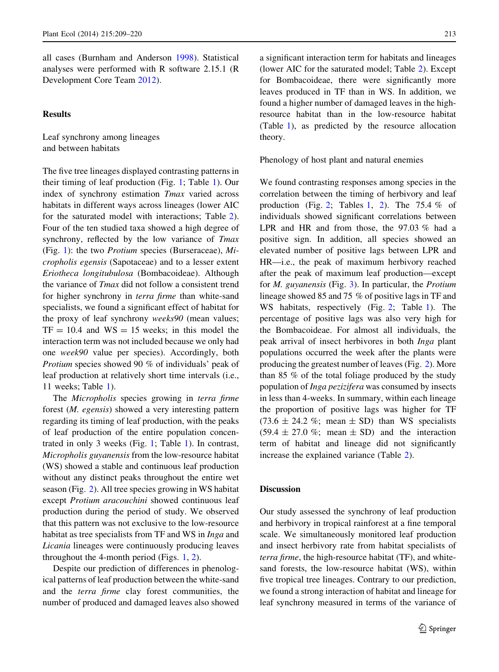all cases (Burnham and Anderson [1998\)](#page-10-0). Statistical analyses were performed with R software 2.15.1 (R Development Core Team [2012](#page-11-0)).

#### **Results**

Leaf synchrony among lineages and between habitats

The five tree lineages displayed contrasting patterns in their timing of leaf production (Fig. [1;](#page-5-0) Table [1\)](#page-6-0). Our index of synchrony estimation Tmax varied across habitats in different ways across lineages (lower AIC for the saturated model with interactions; Table [2](#page-7-0)). Four of the ten studied taxa showed a high degree of synchrony, reflected by the low variance of Tmax (Fig. [1](#page-5-0)): the two Protium species (Burseraceae), Micropholis egensis (Sapotaceae) and to a lesser extent Eriotheca longitubulosa (Bombacoideae). Although the variance of Tmax did not follow a consistent trend for higher synchrony in terra firme than white-sand specialists, we found a significant effect of habitat for the proxy of leaf synchrony weeks90 (mean values;  $TF = 10.4$  and  $WS = 15$  weeks; in this model the interaction term was not included because we only had one week90 value per species). Accordingly, both Protium species showed 90 % of individuals' peak of leaf production at relatively short time intervals (i.e., 11 weeks; Table [1](#page-6-0)).

The Micropholis species growing in terra firme forest (M. egensis) showed a very interesting pattern regarding its timing of leaf production, with the peaks of leaf production of the entire population concentrated in only 3 weeks (Fig. [1;](#page-5-0) Table [1\)](#page-6-0). In contrast, Micropholis guyanensis from the low-resource habitat (WS) showed a stable and continuous leaf production without any distinct peaks throughout the entire wet season (Fig. [2\)](#page-8-0). All tree species growing in WS habitat except Protium aracouchini showed continuous leaf production during the period of study. We observed that this pattern was not exclusive to the low-resource habitat as tree specialists from TF and WS in Inga and Licania lineages were continuously producing leaves throughout the 4-month period (Figs. [1,](#page-5-0) [2](#page-8-0)).

Despite our prediction of differences in phenological patterns of leaf production between the white-sand and the terra firme clay forest communities, the number of produced and damaged leaves also showed a significant interaction term for habitats and lineages (lower AIC for the saturated model; Table [2\)](#page-7-0). Except for Bombacoideae, there were significantly more leaves produced in TF than in WS. In addition, we found a higher number of damaged leaves in the highresource habitat than in the low-resource habitat (Table [1](#page-6-0)), as predicted by the resource allocation theory.

Phenology of host plant and natural enemies

We found contrasting responses among species in the correlation between the timing of herbivory and leaf production (Fig. [2](#page-7-0); Tables [1,](#page-6-0) 2). The 75.4  $%$  of individuals showed significant correlations between LPR and HR and from those, the 97.03 % had a positive sign. In addition, all species showed an elevated number of positive lags between LPR and HR—i.e., the peak of maximum herbivory reached after the peak of maximum leaf production—except for  $M$ . guyanensis (Fig. [3](#page-9-0)). In particular, the *Protium* lineage showed 85 and 75 % of positive lags in TF and WS habitats, respectively (Fig. [2;](#page-8-0) Table [1\)](#page-6-0). The percentage of positive lags was also very high for the Bombacoideae. For almost all individuals, the peak arrival of insect herbivores in both Inga plant populations occurred the week after the plants were producing the greatest number of leaves (Fig. [2](#page-8-0)). More than 85 % of the total foliage produced by the study population of Inga pezizifera was consumed by insects in less than 4-weeks. In summary, within each lineage the proportion of positive lags was higher for TF  $(73.6 \pm 24.2 \%; \text{ mean } \pm \text{ SD})$  than WS specialists  $(59.4 \pm 27.0 \%; \text{ mean } \pm \text{ SD})$  and the interaction term of habitat and lineage did not significantly increase the explained variance (Table [2\)](#page-7-0).

## **Discussion**

Our study assessed the synchrony of leaf production and herbivory in tropical rainforest at a fine temporal scale. We simultaneously monitored leaf production and insect herbivory rate from habitat specialists of terra firme, the high-resource habitat (TF), and whitesand forests, the low-resource habitat (WS), within five tropical tree lineages. Contrary to our prediction, we found a strong interaction of habitat and lineage for leaf synchrony measured in terms of the variance of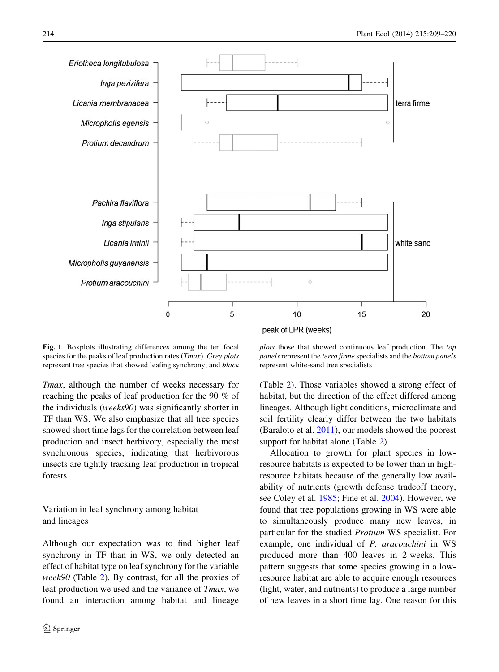<span id="page-5-0"></span>

Fig. 1 Boxplots illustrating differences among the ten focal species for the peaks of leaf production rates (*Tmax*). Grey plots represent tree species that showed leafing synchrony, and black

Tmax, although the number of weeks necessary for reaching the peaks of leaf production for the 90 % of the individuals (weeks90) was significantly shorter in TF than WS. We also emphasize that all tree species showed short time lags for the correlation between leaf production and insect herbivory, especially the most synchronous species, indicating that herbivorous insects are tightly tracking leaf production in tropical forests.

# Variation in leaf synchrony among habitat and lineages

Although our expectation was to find higher leaf synchrony in TF than in WS, we only detected an effect of habitat type on leaf synchrony for the variable week90 (Table [2\)](#page-7-0). By contrast, for all the proxies of leaf production we used and the variance of Tmax, we found an interaction among habitat and lineage

plots those that showed continuous leaf production. The top panels represent the terra firme specialists and the bottom panels represent white-sand tree specialists

(Table [2](#page-7-0)). Those variables showed a strong effect of habitat, but the direction of the effect differed among lineages. Although light conditions, microclimate and soil fertility clearly differ between the two habitats (Baraloto et al. [2011](#page-10-0)), our models showed the poorest support for habitat alone (Table [2](#page-7-0)).

Allocation to growth for plant species in lowresource habitats is expected to be lower than in highresource habitats because of the generally low availability of nutrients (growth defense tradeoff theory, see Coley et al. [1985;](#page-10-0) Fine et al. [2004](#page-10-0)). However, we found that tree populations growing in WS were able to simultaneously produce many new leaves, in particular for the studied Protium WS specialist. For example, one individual of P. aracouchini in WS produced more than 400 leaves in 2 weeks. This pattern suggests that some species growing in a lowresource habitat are able to acquire enough resources (light, water, and nutrients) to produce a large number of new leaves in a short time lag. One reason for this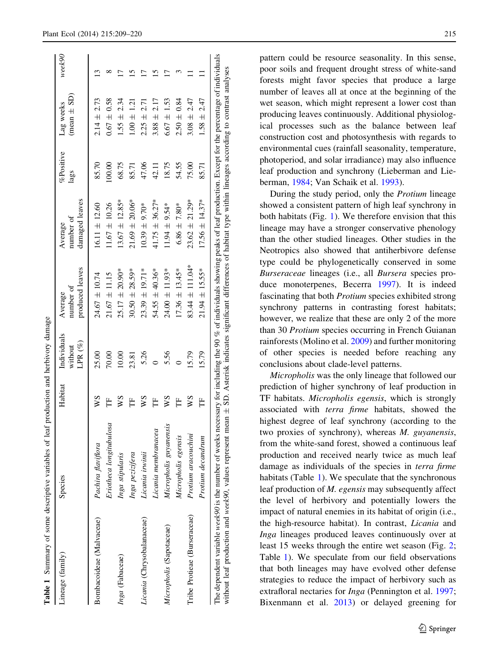<span id="page-6-0"></span>

| Lineage (family)             | Species                   | Habitat | <b>Individuals</b><br>$LPR(\%)$<br>without | produced leaves<br>number of<br>Average | damaged leaves<br>number of<br>Average | %Positive<br>lags | $(mean \pm SD)$<br>Lag weeks | week90 |
|------------------------------|---------------------------|---------|--------------------------------------------|-----------------------------------------|----------------------------------------|-------------------|------------------------------|--------|
| Bombacoideae (Malvaceae)     | Pachira flaviflora        | χχ      | 25.00                                      | $24.67 \pm 10.74$                       | $16.11 \pm 12.60$                      | 85.70             | $2.14 \pm 2.73$              | ഇ      |
|                              | Eriotheca longitubulosa   | Ë       | 70.00                                      | $21.67 \pm 11.15$                       | $11.67 \pm 10.26$                      | 100.00            | $0.67 \pm 0.58$              | ∝      |
| Inga (Fabaceae)              | Inga stipularis           | ws      | 10.00                                      | $25.17 \pm 20.90*$                      | $13.67 \pm 12.85*$                     | 68.75             | $1.55 \pm 2.34$              |        |
|                              | Inga pezizifera           | Ë       | 23.81                                      | $30.50 \pm 28.59*$                      | $21.69 \pm 20.06*$                     | 85.71             | $1.00 \pm 1.21$              |        |
| Licania (Chrysobalanaceae)   | Licania irwinii           | ws      | 5.26                                       | $23.39 \pm 19.71*$                      | $10.39 \pm 9.70$ *                     | 47.06             | $2.25 \pm 2.71$              |        |
|                              | Licania membranacea       | Ë       |                                            | $54.55 \pm 40.36*$                      | $41.75 \pm 36.27*$                     | 42.11             | $3.88 \pm 2.17$              | 51     |
| Micropholis (Sapotaceae)     | guyanensis<br>Micropholis | ws      | 5.56                                       | $24.00 \pm 11.93*$                      | $1.94 \pm 9.54*$                       | 18.75             | $6.67 \pm 1.53$              | ŗ      |
|                              | Micropholis egensis       | Ë       |                                            | $17.36 \pm 13.45*$                      | $6.86 \pm 7.80*$                       | 54.55             | $2.50 \pm 0.84$              |        |
| Tribe Protieae (Burseraceae) | Protium aracouchini       | WS      | 15.79                                      | $83.44 \pm 111.04*$                     | $23.62 \pm 21.29*$                     | 75.00             | $3.08 \pm 2.47$              |        |
|                              | Protium decandrum         | Ë       | 15.79                                      | $21.94 \pm 15.55*$                      | $17.56 \pm 14.37*$                     | 85.71             | $1.58 \pm 2.47$              |        |

pattern could be resource seasonality. In this sense, poor soils and frequent drought stress of white-sand forests might favor species that produce a large number of leaves all at once at the beginning of the wet season, which might represent a lower cost than producing leaves continuously. Additional physiological processes such as the balance between leaf construction cost and photosynthesis with regards to environmental cues (rainfall seasonality, temperature, photoperiod, and solar irradiance) may also influence leaf production and synchrony (Lieberman and Lieberman, [1984](#page-11-0); Van Schaik et al. [1993\)](#page-11-0).

During the study period, only the Protium lineage showed a consistent pattern of high leaf synchrony in both habitats (Fig. [1\)](#page-5-0). We therefore envision that this lineage may have a stronger conservative phenology than the other studied lineages. Other studies in the Neotropics also showed that antiherbivore defense type could be phylogenetically conserved in some Burseraceae lineages (i.e., all Bursera species produce monoterpenes, Becerra [1997](#page-10-0)). It is indeed fascinating that both Protium species exhibited strong synchrony patterns in contrasting forest habitats; however, we realize that these are only 2 of the more than 30 Protium species occurring in French Guianan rainforests (Molino et al. [2009\)](#page-11-0) and further monitoring of other species is needed before reaching any conclusions about clade-level patterns.

Micropholis was the only lineage that followed our prediction of higher synchrony of leaf production in TF habitats. Micropholis egensis, which is strongly associated with terra firme habitats, showed the highest degree of leaf synchrony (according to the two proxies of synchrony), whereas M. guyanensis, from the white-sand forest, showed a continuous leaf production and received nearly twice as much leaf damage as individuals of the species in terra firme habitats (Table 1). We speculate that the synchronous leaf production of M. egensis may subsequently affect the level of herbivory and potentially lowers the impact of natural enemies in its habitat of origin (i.e., the high-resource habitat). In contrast, Licania and Inga lineages produced leaves continuously over at least 15 weeks through the entire wet season (Fig. [2](#page-8-0); Table 1). We speculate from our field observations that both lineages may have evolved other defense strategies to reduce the impact of herbivory such as extrafloral nectaries for Inga (Pennington et al. [1997](#page-11-0); Bixenmann et al. [2013](#page-10-0)) or delayed greening for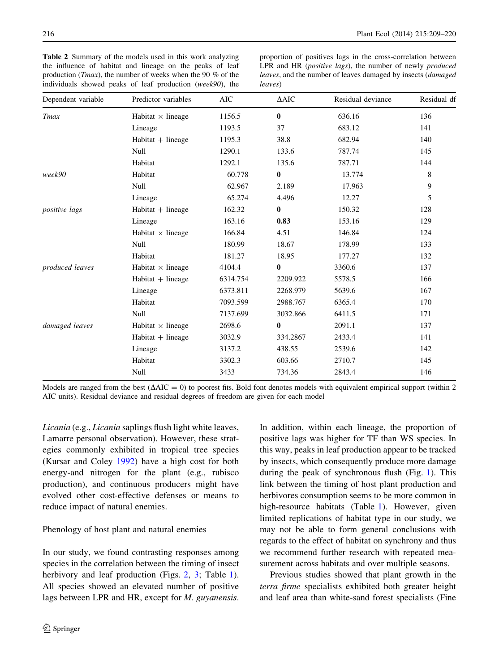<span id="page-7-0"></span>Table 2 Summary of the models used in this work analyzing the influence of habitat and lineage on the peaks of leaf production (Tmax), the number of weeks when the 90 % of the individuals showed peaks of leaf production (week90), the

proportion of positives lags in the cross-correlation between LPR and HR (positive lags), the number of newly produced leaves, and the number of leaves damaged by insects (damaged leaves)

| Dependent variable   | Predictor variables      | <b>AIC</b> | $\triangle AIC$ | Residual deviance | Residual df |
|----------------------|--------------------------|------------|-----------------|-------------------|-------------|
| <b>T</b> max         | Habitat $\times$ lineage | 1156.5     | $\bf{0}$        | 636.16            | 136         |
|                      | Lineage                  | 1193.5     | 37              | 683.12            | 141         |
|                      | $Habitat + lineage$      | 1195.3     | 38.8            | 682.94            | 140         |
|                      | Null                     | 1290.1     | 133.6           | 787.74            | 145         |
|                      | Habitat                  | 1292.1     | 135.6           | 787.71            | 144         |
| week90               | Habitat                  | 60.778     | $\bf{0}$        | 13.774            | 8           |
|                      | Null                     | 62.967     | 2.189           | 17.963            | 9           |
|                      | Lineage                  | 65.274     | 4.496           | 12.27             | 5           |
| <i>positive</i> lags | $Habitat + lineage$      | 162.32     | $\bf{0}$        | 150.32            | 128         |
|                      | Lineage                  | 163.16     | 0.83            | 153.16            | 129         |
|                      | Habitat $\times$ lineage | 166.84     | 4.51            | 146.84            | 124         |
|                      | Null                     | 180.99     | 18.67           | 178.99            | 133         |
|                      | Habitat                  | 181.27     | 18.95           | 177.27            | 132         |
| produced leaves      | Habitat $\times$ lineage | 4104.4     | $\bf{0}$        | 3360.6            | 137         |
|                      | $Habitat + lineage$      | 6314.754   | 2209.922        | 5578.5            | 166         |
|                      | Lineage                  | 6373.811   | 2268.979        | 5639.6            | 167         |
|                      | Habitat                  | 7093.599   | 2988.767        | 6365.4            | 170         |
|                      | Null                     | 7137.699   | 3032.866        | 6411.5            | 171         |
| damaged leaves       | Habitat $\times$ lineage | 2698.6     | $\bf{0}$        | 2091.1            | 137         |
|                      | $Habitat + lineage$      | 3032.9     | 334.2867        | 2433.4            | 141         |
|                      | Lineage                  | 3137.2     | 438.55          | 2539.6            | 142         |
|                      | Habitat                  | 3302.3     | 603.66          | 2710.7            | 145         |
|                      | Null                     | 3433       | 734.36          | 2843.4            | 146         |

Models are ranged from the best  $(\Delta AIC = 0)$  to poorest fits. Bold font denotes models with equivalent empirical support (within 2) AIC units). Residual deviance and residual degrees of freedom are given for each model

Licania (e.g., Licania saplings flush light white leaves, Lamarre personal observation). However, these strategies commonly exhibited in tropical tree species (Kursar and Coley [1992\)](#page-10-0) have a high cost for both energy-and nitrogen for the plant (e.g., rubisco production), and continuous producers might have evolved other cost-effective defenses or means to reduce impact of natural enemies.

Phenology of host plant and natural enemies

In our study, we found contrasting responses among species in the correlation between the timing of insect herbivory and leaf production (Figs. [2,](#page-8-0) [3](#page-9-0); Table [1](#page-6-0)). All species showed an elevated number of positive lags between LPR and HR, except for *M. guyanensis.*  In addition, within each lineage, the proportion of positive lags was higher for TF than WS species. In this way, peaks in leaf production appear to be tracked by insects, which consequently produce more damage during the peak of synchronous flush (Fig. [1\)](#page-5-0). This link between the timing of host plant production and herbivores consumption seems to be more common in high-resource habitats (Table [1](#page-6-0)). However, given limited replications of habitat type in our study, we may not be able to form general conclusions with regards to the effect of habitat on synchrony and thus we recommend further research with repeated measurement across habitats and over multiple seasons.

Previous studies showed that plant growth in the terra firme specialists exhibited both greater height and leaf area than white-sand forest specialists (Fine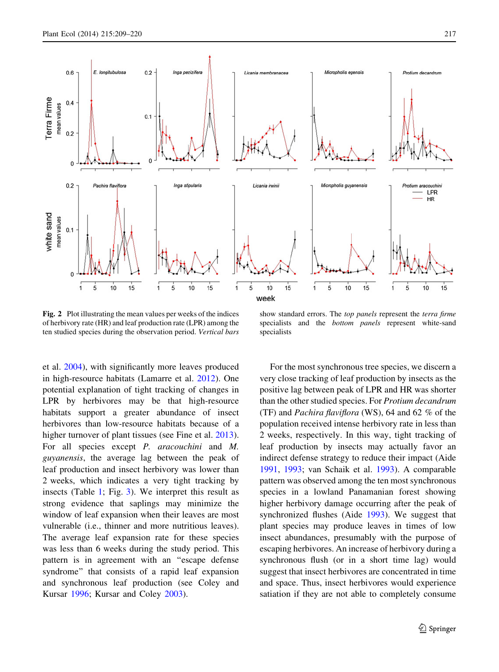<span id="page-8-0"></span>

Fig. 2 Plot illustrating the mean values per weeks of the indices of herbivory rate (HR) and leaf production rate (LPR) among the ten studied species during the observation period. Vertical bars

show standard errors. The top panels represent the terra firme specialists and the bottom panels represent white-sand specialists

et al. [2004](#page-10-0)), with significantly more leaves produced in high-resource habitats (Lamarre et al. [2012](#page-10-0)). One potential explanation of tight tracking of changes in LPR by herbivores may be that high-resource habitats support a greater abundance of insect herbivores than low-resource habitats because of a higher turnover of plant tissues (see Fine et al. [2013](#page-10-0)). For all species except P. aracouchini and M. guyanensis, the average lag between the peak of leaf production and insect herbivory was lower than 2 weeks, which indicates a very tight tracking by insects (Table [1](#page-6-0); Fig. [3](#page-9-0)). We interpret this result as strong evidence that saplings may minimize the window of leaf expansion when their leaves are most vulnerable (i.e., thinner and more nutritious leaves). The average leaf expansion rate for these species was less than 6 weeks during the study period. This pattern is in agreement with an ''escape defense syndrome'' that consists of a rapid leaf expansion and synchronous leaf production (see Coley and Kursar [1996;](#page-10-0) Kursar and Coley [2003\)](#page-10-0).

For the most synchronous tree species, we discern a very close tracking of leaf production by insects as the positive lag between peak of LPR and HR was shorter than the other studied species. For Protium decandrum (TF) and Pachira flaviflora (WS), 64 and 62 % of the population received intense herbivory rate in less than 2 weeks, respectively. In this way, tight tracking of leaf production by insects may actually favor an indirect defense strategy to reduce their impact (Aide [1991,](#page-10-0) [1993](#page-10-0); van Schaik et al. [1993\)](#page-11-0). A comparable pattern was observed among the ten most synchronous species in a lowland Panamanian forest showing higher herbivory damage occurring after the peak of synchronized flushes (Aide [1993](#page-10-0)). We suggest that plant species may produce leaves in times of low insect abundances, presumably with the purpose of escaping herbivores. An increase of herbivory during a synchronous flush (or in a short time lag) would suggest that insect herbivores are concentrated in time and space. Thus, insect herbivores would experience satiation if they are not able to completely consume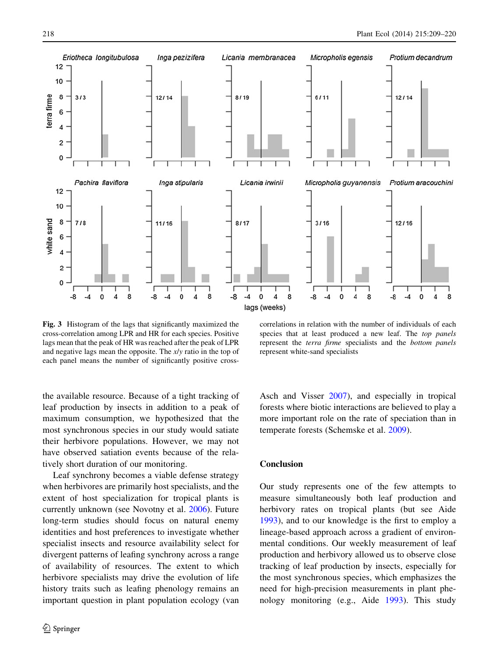<span id="page-9-0"></span>

Fig. 3 Histogram of the lags that significantly maximized the cross-correlation among LPR and HR for each species. Positive lags mean that the peak of HR was reached after the peak of LPR and negative lags mean the opposite. The  $x/y$  ratio in the top of each panel means the number of significantly positive cross-

correlations in relation with the number of individuals of each species that at least produced a new leaf. The *top panels* represent the terra firme specialists and the bottom panels represent white-sand specialists

the available resource. Because of a tight tracking of leaf production by insects in addition to a peak of maximum consumption, we hypothesized that the most synchronous species in our study would satiate their herbivore populations. However, we may not have observed satiation events because of the relatively short duration of our monitoring.

Leaf synchrony becomes a viable defense strategy when herbivores are primarily host specialists, and the extent of host specialization for tropical plants is currently unknown (see Novotny et al. [2006](#page-11-0)). Future long-term studies should focus on natural enemy identities and host preferences to investigate whether specialist insects and resource availability select for divergent patterns of leafing synchrony across a range of availability of resources. The extent to which herbivore specialists may drive the evolution of life history traits such as leafing phenology remains an important question in plant population ecology (van

Asch and Visser [2007\)](#page-11-0), and especially in tropical forests where biotic interactions are believed to play a more important role on the rate of speciation than in temperate forests (Schemske et al. [2009\)](#page-11-0).

### Conclusion

Our study represents one of the few attempts to measure simultaneously both leaf production and herbivory rates on tropical plants (but see Aide [1993\)](#page-10-0), and to our knowledge is the first to employ a lineage-based approach across a gradient of environmental conditions. Our weekly measurement of leaf production and herbivory allowed us to observe close tracking of leaf production by insects, especially for the most synchronous species, which emphasizes the need for high-precision measurements in plant phenology monitoring (e.g., Aide [1993](#page-10-0)). This study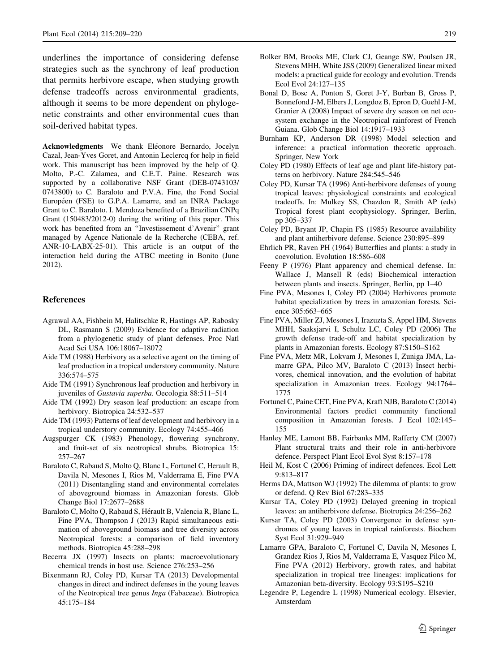<span id="page-10-0"></span>underlines the importance of considering defense strategies such as the synchrony of leaf production that permits herbivore escape, when studying growth defense tradeoffs across environmental gradients, although it seems to be more dependent on phylogenetic constraints and other environmental cues than soil-derived habitat types.

Acknowledgments We thank Eléonore Bernardo, Jocelyn Cazal, Jean-Yves Goret, and Antonin Leclercq for help in field work. This manuscript has been improved by the help of Q. Molto, P.-C. Zalamea, and C.E.T. Paine. Research was supported by a collaborative NSF Grant (DEB-0743103/ 0743800) to C. Baraloto and P.V.A. Fine, the Fond Social Européen (FSE) to G.P.A. Lamarre, and an INRA Package Grant to C. Baraloto. I. Mendoza benefited of a Brazilian CNPq Grant (150483/2012-0) during the writing of this paper. This work has benefited from an ''Investissement d'Avenir'' grant managed by Agence Nationale de la Recherche (CEBA, ref. ANR-10-LABX-25-01). This article is an output of the interaction held during the ATBC meeting in Bonito (June 2012).

#### References

- Agrawal AA, Fishbein M, Halitschke R, Hastings AP, Rabosky DL, Rasmann S (2009) Evidence for adaptive radiation from a phylogenetic study of plant defenses. Proc Natl Acad Sci USA 106:18067–18072
- Aide TM (1988) Herbivory as a selective agent on the timing of leaf production in a tropical understory community. Nature 336:574–575
- Aide TM (1991) Synchronous leaf production and herbivory in juveniles of Gustavia superba. Oecologia 88:511–514
- Aide TM (1992) Dry season leaf production: an escape from herbivory. Biotropica 24:532–537
- Aide TM (1993) Patterns of leaf development and herbivory in a tropical understory community. Ecology 74:455–466
- Augspurger CK (1983) Phenology, flowering synchrony, and fruit-set of six neotropical shrubs. Biotropica 15: 257–267
- Baraloto C, Rabaud S, Molto Q, Blanc L, Fortunel C, Herault B, Davila N, Mesones I, Rios M, Valderrama E, Fine PVA (2011) Disentangling stand and environmental correlates of aboveground biomass in Amazonian forests. Glob Change Biol 17:2677–2688
- Baraloto C, Molto Q, Rabaud S, Hérault B, Valencia R, Blanc L, Fine PVA, Thompson J (2013) Rapid simultaneous estimation of aboveground biomass and tree diversity across Neotropical forests: a comparison of field inventory methods. Biotropica 45:288–298
- Becerra JX (1997) Insects on plants: macroevolutionary chemical trends in host use. Science 276:253–256
- Bixenmann RJ, Coley PD, Kursar TA (2013) Developmental changes in direct and indirect defenses in the young leaves of the Neotropical tree genus Inga (Fabaceae). Biotropica 45:175–184
- Bolker BM, Brooks ME, Clark CJ, Geange SW, Poulsen JR, Stevens MHH, White JSS (2009) Generalized linear mixed models: a practical guide for ecology and evolution. Trends Ecol Evol 24:127–135
- Bonal D, Bosc A, Ponton S, Goret J-Y, Burban B, Gross P, Bonnefond J-M, Elbers J, Longdoz B, Epron D, Guehl J-M, Granier A (2008) Impact of severe dry season on net ecosystem exchange in the Neotropical rainforest of French Guiana. Glob Change Biol 14:1917–1933
- Burnham KP, Anderson DR (1998) Model selection and inference: a practical information theoretic approach. Springer, New York
- Coley PD (1980) Effects of leaf age and plant life-history patterns on herbivory. Nature 284:545–546
- Coley PD, Kursar TA (1996) Anti-herbivore defenses of young tropical leaves: physiological constraints and ecological tradeoffs. In: Mulkey SS, Chazdon R, Smith AP (eds) Tropical forest plant ecophysiology. Springer, Berlin, pp 305–337
- Coley PD, Bryant JP, Chapin FS (1985) Resource availability and plant antiherbivore defense. Science 230:895–899
- Ehrlich PR, Raven PH (1964) Butterflies and plants: a study in coevolution. Evolution 18:586–608
- Feeny P (1976) Plant apparency and chemical defense. In: Wallace J, Mansell R (eds) Biochemical interaction between plants and insects. Springer, Berlin, pp 1–40
- Fine PVA, Mesones I, Coley PD (2004) Herbivores promote habitat specialization by trees in amazonian forests. Science 305:663–665
- Fine PVA, Miller ZJ, Mesones I, Irazuzta S, Appel HM, Stevens MHH, Saaksjarvi I, Schultz LC, Coley PD (2006) The growth defense trade-off and habitat specialization by plants in Amazonian forests. Ecology 87:S150–S162
- Fine PVA, Metz MR, Lokvam J, Mesones I, Zuniga JMA, Lamarre GPA, Pilco MV, Baraloto C (2013) Insect herbivores, chemical innovation, and the evolution of habitat specialization in Amazonian trees. Ecology 94:1764– 1775
- Fortunel C, Paine CET, Fine PVA, Kraft NJB, Baraloto C (2014) Environmental factors predict community functional composition in Amazonian forests. J Ecol 102:145– 155
- Hanley ME, Lamont BB, Fairbanks MM, Rafferty CM (2007) Plant structural traits and their role in anti-herbivore defence. Perspect Plant Ecol Evol Syst 8:157–178
- Heil M, Kost C (2006) Priming of indirect defences. Ecol Lett 9:813–817
- Herms DA, Mattson WJ (1992) The dilemma of plants: to grow or defend. Q Rev Biol 67:283–335
- Kursar TA, Coley PD (1992) Delayed greening in tropical leaves: an antiherbivore defense. Biotropica 24:256–262
- Kursar TA, Coley PD (2003) Convergence in defense syndromes of young leaves in tropical rainforests. Biochem Syst Ecol 31:929–949
- Lamarre GPA, Baraloto C, Fortunel C, Davila N, Mesones I, Grandez Rios J, Rios M, Valderrama E, Vasquez Pilco M, Fine PVA (2012) Herbivory, growth rates, and habitat specialization in tropical tree lineages: implications for Amazonian beta-diversity. Ecology 93:S195–S210
- Legendre P, Legendre L (1998) Numerical ecology. Elsevier, Amsterdam